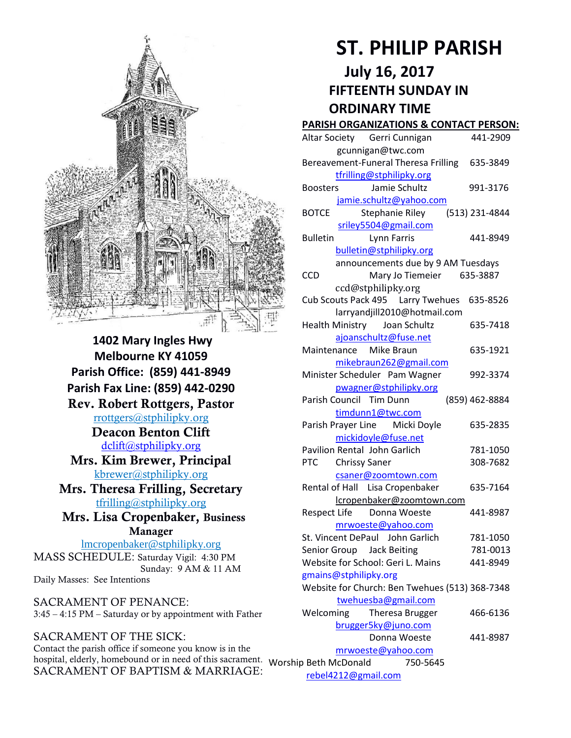

**1402 Mary Ingles Hwy Melbourne KY 41059 Parish Office: (859) 441-8949 Parish Fax Line: (859) 442-0290 Rev. Robert Rottgers, Pastor**  [rrottgers@stphilipky.org](mailto:rrottgers@stphilipky.org) **Deacon Benton Clift**  [dclift@stphilipky.org](mailto:dclift@stphilipky.org) **Mrs. Kim Brewer, Principal**  [kbrewer@stphilipky.org](mailto:kbrewer@stphilipky.org) **Mrs. Theresa Frilling, Secretary**  [tfrilling@stphilipky.org](mailto:tfrilling@stphilipky.org) **Mrs. Lisa Cropenbaker, Business Manager**  lmcropenbaker@stphilipky.org MASS SCHEDULE: Saturday Vigil: 4:30 PM Sunday: 9 AM & 11 AM Daily Masses: See Intentions

SACRAMENT OF PENANCE: 3:45 – 4:15 PM – Saturday or by appointment with Father

#### SACRAMENT OF THE SICK: Contact the parish office if someone you know is in the hospital, elderly, homebound or in need of this sacrament. SACRAMENT OF BAPTISM & MARRIAGE:

# **ST. PHILIP PARISH**

## **July 16, 2017 FIFTEENTH SUNDAY IN ORDINARY TIME**

#### **PARISH ORGANIZATIONS & CONTACT PERSON:**

|                                   | Altar Society Gerri Cunnigan                   | 441-2909       |
|-----------------------------------|------------------------------------------------|----------------|
|                                   | gcunnigan@twc.com                              |                |
|                                   | Bereavement-Funeral Theresa Frilling 635-3849  |                |
|                                   | tfrilling@stphilipky.org                       |                |
|                                   | Jamie Schultz<br><b>Boosters</b>               | 991-3176       |
|                                   | jamie.schultz@yahoo.com                        |                |
|                                   | <b>BOTCE</b><br>Stephanie Riley                | (513) 231-4844 |
|                                   | sriley5504@gmail.com                           |                |
|                                   | <b>Bulletin</b><br>Lynn Farris                 | 441-8949       |
|                                   | bulletin@stphilipky.org                        |                |
|                                   | announcements due by 9 AM Tuesdays             |                |
|                                   | Mary Jo Tiemeier 635-3887<br><b>CCD</b>        |                |
|                                   | ccd@stphilipky.org                             |                |
|                                   | Cub Scouts Pack 495   Larry Twehues            | 635-8526       |
|                                   | larryandjill2010@hotmail.com                   |                |
|                                   | Health Ministry Joan Schultz                   | 635-7418       |
|                                   | ajoanschultz@fuse.net                          |                |
|                                   | Mike Braun<br>Maintenance                      | 635-1921       |
|                                   | mikebraun262@gmail.com                         |                |
|                                   | Minister Scheduler Pam Wagner                  | 992-3374       |
|                                   | pwagner@stphilipky.org                         |                |
|                                   | Parish Council Tim Dunn                        | (859) 462-8884 |
|                                   | timdunn1@twc.com                               |                |
|                                   | Parish Prayer Line Micki Doyle                 | 635-2835       |
|                                   | mickidoyle@fuse.net                            |                |
|                                   | Pavilion Rental John Garlich                   | 781-1050       |
|                                   | <b>PTC</b><br><b>Chrissy Saner</b>             | 308-7682       |
|                                   | csaner@zoomtown.com                            |                |
|                                   | Rental of Hall Lisa Cropenbaker                | 635-7164       |
|                                   | lcropenbaker@zoomtown.com                      |                |
|                                   | <b>Respect Life</b><br>Donna Woeste            | 441-8987       |
|                                   | mrwoeste@yahoo.com                             |                |
|                                   | St. Vincent DePaul John Garlich                | 781-1050       |
|                                   | Senior Group Jack Beiting                      | 781-0013       |
|                                   | Website for School: Geri L. Mains              | 441-8949       |
|                                   | gmains@stphilipky.org                          |                |
|                                   | Website for Church: Ben Twehues (513) 368-7348 |                |
|                                   | twehuesba@gmail.com                            |                |
|                                   | Theresa Brugger<br>Welcoming                   | 466-6136       |
|                                   | brugger5ky@juno.com                            |                |
|                                   | Donna Woeste                                   | 441-8987       |
| mrwoeste@yahoo.com                |                                                |                |
| Worship Beth McDonald<br>750-5645 |                                                |                |

[rebel4212@gmail.com](mailto:trebel4212@gmail.com)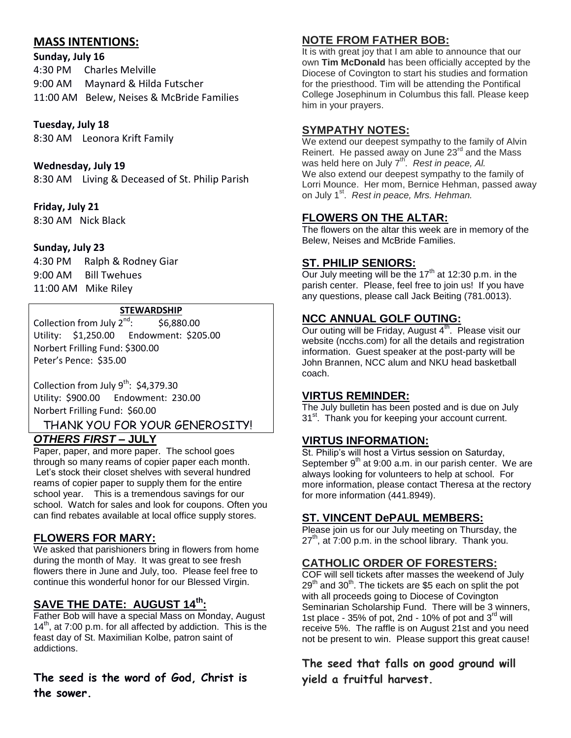## **MASS INTENTIONS:**

#### **Sunday, July 16**

4:30 PM Charles Melville 9:00 AM Maynard & Hilda Futscher 11:00 AM Belew, Neises & McBride Families

#### **Tuesday, July 18**

8:30 AM Leonora Krift Family

#### **Wednesday, July 19**

8:30 AM Living & Deceased of St. Philip Parish

#### **Friday, July 21**

8:30 AM Nick Black

#### **Sunday, July 23**

4:30 PM Ralph & Rodney Giar 9:00 AM Bill Twehues 11:00 AM Mike Riley

#### **STEWARDSHIP**

Collection from July  $2^{nd}$ : : \$6,880.00 Utility: \$1,250.00 Endowment: \$205.00 Norbert Frilling Fund: \$300.00 Peter's Pence: \$35.00

Collection from July  $9^{th}$ : \$4,379.30 Utility: \$900.00 Endowment: 230.00 Norbert Frilling Fund: \$60.00

THANK YOU FOR YOUR GENEROSITY!

## *OTHERS FIRST* **– JULY**

Paper, paper, and more paper. The school goes through so many reams of copier paper each month. Let's stock their closet shelves with several hundred reams of copier paper to supply them for the entire school year. This is a tremendous savings for our school. Watch for sales and look for coupons. Often you can find rebates available at local office supply stores.

## **FLOWERS FOR MARY:**

We asked that parishioners bring in flowers from home during the month of May. It was great to see fresh flowers there in June and July, too. Please feel free to continue this wonderful honor for our Blessed Virgin.

## **SAVE THE DATE: AUGUST 14th:**

Father Bob will have a special Mass on Monday, August  $14<sup>th</sup>$ , at 7:00 p.m. for all affected by addiction. This is the feast day of St. Maximilian Kolbe, patron saint of addictions.

## **The seed is the word of God, Christ is the sower.**

## **NOTE FROM FATHER BOB:**

It is with great joy that I am able to announce that our own **Tim McDonald** has been officially accepted by the Diocese of Covington to start his studies and formation for the priesthood. Tim will be attending the Pontifical College Josephinum in Columbus this fall. Please keep him in your prayers.

## **SYMPATHY NOTES:**

We extend our deepest sympathy to the family of Alvin Reinert. He passed away on June 23<sup>rd</sup> and the Mass was held here on July 7<sup>th'</sup>. Rest in peace, Al. We also extend our deepest sympathy to the family of Lorri Mounce. Her mom, Bernice Hehman, passed away on July 1<sup>st</sup>. Rest in peace, Mrs. Hehman.

## **FLOWERS ON THE ALTAR:**

The flowers on the altar this week are in memory of the Belew, Neises and McBride Families.

## **ST. PHILIP SENIORS:**

Our July meeting will be the  $17<sup>th</sup>$  at 12:30 p.m. in the parish center. Please, feel free to join us! If you have any questions, please call Jack Beiting (781.0013).

## **NCC ANNUAL GOLF OUTING:**

Our outing will be Friday, August 4<sup>th</sup>. Please visit our website (ncchs.com) for all the details and registration information. Guest speaker at the post-party will be John Brannen, NCC alum and NKU head basketball coach.

#### **VIRTUS REMINDER:**

The July bulletin has been posted and is due on July 31<sup>st</sup>. Thank you for keeping your account current.

## **VIRTUS INFORMATION:**

St. Philip's will host a Virtus session on Saturday, September  $9<sup>th</sup>$  at 9:00 a.m. in our parish center. We are always looking for volunteers to help at school. For more information, please contact Theresa at the rectory for more information (441.8949).

## **ST. VINCENT DePAUL MEMBERS:**

Please join us for our July meeting on Thursday, the  $27<sup>th</sup>$ , at 7:00 p.m. in the school library. Thank you.

## **CATHOLIC ORDER OF FORESTERS:**

COF will sell tickets after masses the weekend of July 29<sup>th</sup> and 30<sup>th</sup>. The tickets are \$5 each on split the pot with all proceeds going to Diocese of Covington Seminarian Scholarship Fund. There will be 3 winners, 1st place -  $35\%$  of pot, 2nd - 10% of pot and  $3<sup>rd</sup>$  will receive 5%. The raffle is on August 21st and you need not be present to win. Please support this great cause!

**The seed that falls on good ground will yield a fruitful harvest.**